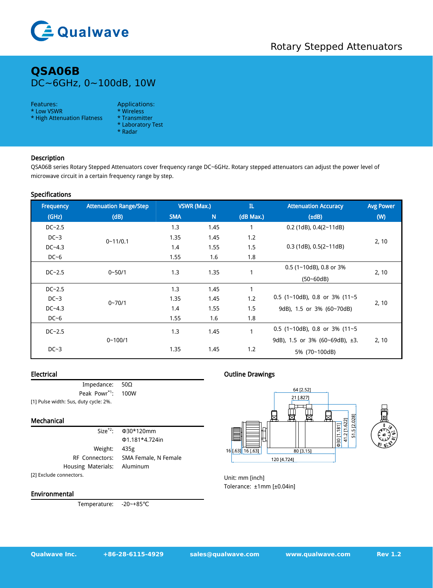

# **QSA06B** DC~6GHz, 0~100dB, 10W

#### Features: Applications:

- \* Low VSWR \* Wireless<br>\* High Attenuation Flatness \* Transmitter \* High Attenuation Flatness
- -
	- \* Laboratory Test
	- \* Radar

## Description

QSA06B series Rotary Stepped Attenuators cover frequency range DC~6GHz. Rotary stepped attenuators can adjust the power level of microwave circuit in a certain frequency range by step.

#### Specifications

|  | Frequency  | <b>Attenuation Range/Step</b> | VSWR (Max.) |      | $\mathbf{L}$ | <b>Attenuation Accuracy</b>          | <b>Avg Power</b> |
|--|------------|-------------------------------|-------------|------|--------------|--------------------------------------|------------------|
|  | (GHz)      | (d)                           | <b>SMA</b>  | N    | (dB Max.)    | $(\pm dB)$                           | (W)              |
|  | $DC-2.5$   | $0 - 11/0.1$                  | 1.3         | 1.45 |              | $0.2$ (1dB), $0.4(2-11dB)$           | 2, 10            |
|  | $DC-3$     |                               | 1.35        | 1.45 | 1.2          | $0.3$ (1dB), $0.5(2-11dB)$           |                  |
|  | $DC - 4.3$ |                               | 1.4         | 1.55 | 1.5          |                                      |                  |
|  | $DC-6$     |                               | 1.55        | 1.6  | 1.8          |                                      |                  |
|  | $DC-2.5$   | $0 - 50/1$                    | 1.3         | 1.35 |              | $0.5$ (1~10dB), 0.8 or 3%            | 2, 10            |
|  |            |                               |             |      |              | $(50 - 60dB)$                        |                  |
|  | $DC-2.5$   | $0 - 70/1$                    | 1.3         | 1.45 | $\mathbf{1}$ |                                      | 2, 10            |
|  | $DC-3$     |                               | 1.35        | 1.45 | 1.2          | 0.5 (1~10dB), 0.8 or 3% (11~5        |                  |
|  | $DC - 4.3$ |                               | 1.4         | 1.55 | 1.5          | 9dB), 1.5 or 3% (60~70dB)            |                  |
|  | $DC-6$     |                               | 1.55        | 1.6  | 1.8          |                                      |                  |
|  | $DC - 2.5$ |                               | 1.3         | 1.45 | $\mathbf{1}$ | 0.5 (1~10dB), 0.8 or 3% (11~5        |                  |
|  |            | $0 - 100/1$                   |             |      |              | 9dB), 1.5 or 3% (60~69dB), $\pm 3$ . | 2, 10            |
|  | $DC-3$     |                               | 1.35        | 1.45 | 1.2          | 5% (70~100dB)                        |                  |
|  |            |                               |             |      |              |                                      |                  |

#### Electrical

| Impedance: $50\Omega$                 |  |
|---------------------------------------|--|
| Peak Powr <sup>*1</sup> : 100W        |  |
| [1] Pulse width: 5us, duty cycle: 2%. |  |

#### Mechanical

Housing Materials: Aluminum [2] Exclude connectors.

Size \*2 : Φ30\*120mm Φ1.181\*4.724in Weight: 435g RF Connectors: SMA Female, N Female

#### Environmental

Temperature: -20~+85℃

### Outline Drawings



Unit: mm [inch] Tolerance: ±1mm [±0.04in]